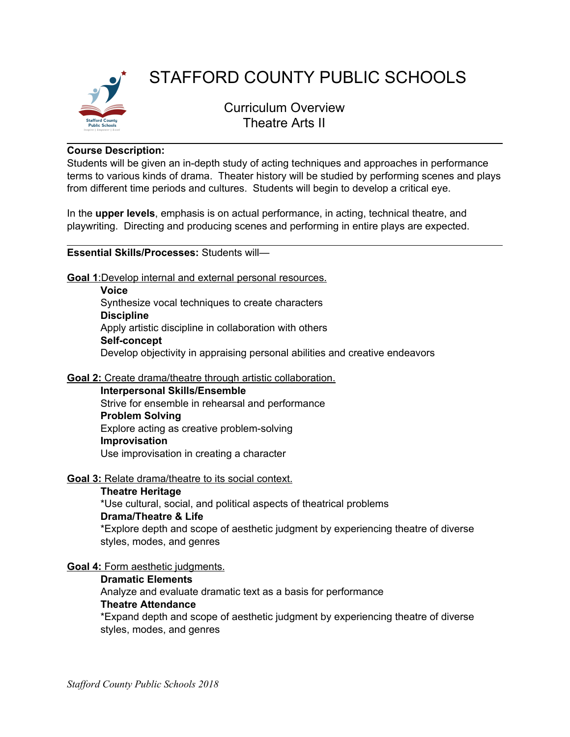

# STAFFORD COUNTY PUBLIC SCHOOLS

Curriculum Overview Theatre Arts II

#### **Course Description:**

Students will be given an in-depth study of acting techniques and approaches in performance terms to various kinds of drama. Theater history will be studied by performing scenes and plays from different time periods and cultures. Students will begin to develop a critical eye.

In the **upper levels**, emphasis is on actual performance, in acting, technical theatre, and playwriting. Directing and producing scenes and performing in entire plays are expected.

#### **Essential Skills/Processes:** Students will—

**Goal 1**:Develop internal and external personal resources.

**Voice** Synthesize vocal techniques to create characters **Discipline** Apply artistic discipline in collaboration with others **Self-concept** Develop objectivity in appraising personal abilities and creative endeavors

### **Goal 2:** Create drama/theatre through artistic collaboration.

**Interpersonal Skills/Ensemble** Strive for ensemble in rehearsal and performance

# **Problem Solving**

Explore acting as creative problem-solving

### **Improvisation**

Use improvisation in creating a character

### **Goal 3:** Relate drama/theatre to its social context.

### **Theatre Heritage**

\*Use cultural, social, and political aspects of theatrical problems **Drama/Theatre & Life** \*Explore depth and scope of aesthetic judgment by experiencing theatre of diverse

#### styles, modes, and genres

### **Goal 4:** Form aesthetic judgments.

# **Dramatic Elements**

Analyze and evaluate dramatic text as a basis for performance **Theatre Attendance**

\*Expand depth and scope of aesthetic judgment by experiencing theatre of diverse styles, modes, and genres